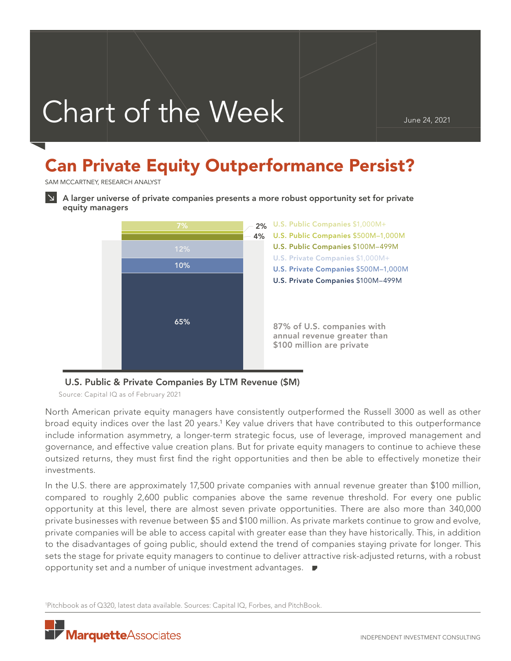# Chart of the Week

# Can Private Equity Outperformance Persist?

SAM MCCARTNEY, RESEARCH ANALYST



A larger universe of private companies presents a more robust opportunity set for private equity managers



## U.S. Public & Private Companies By LTM Revenue (\$M)

Source: Capital IQ as of February 2021

North American private equity managers have consistently outperformed the Russell 3000 as well as other broad equity indices over the last 20 years.<sup>1</sup> Key value drivers that have contributed to this outperformance include information asymmetry, a longer-term strategic focus, use of leverage, improved management and governance, and effective value creation plans. But for private equity managers to continue to achieve these outsized returns, they must first find the right opportunities and then be able to effectively monetize their investments.

In the U.S. there are approximately 17,500 private companies with annual revenue greater than \$100 million, compared to roughly 2,600 public companies above the same revenue threshold. For every one public opportunity at this level, there are almost seven private opportunities. There are also more than 340,000 private businesses with revenue between \$5 and \$100 million. As private markets continue to grow and evolve, private companies will be able to access capital with greater ease than they have historically. This, in addition to the disadvantages of going public, should extend the trend of companies staying private for longer. This sets the stage for private equity managers to continue to deliver attractive risk-adjusted returns, with a robust opportunity set and a number of unique investment advantages.

1 Pitchbook as of Q320, latest data available. Sources: Capital IQ, Forbes, and PitchBook.